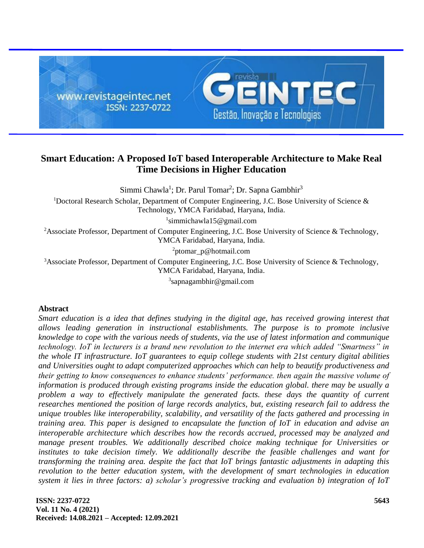

# **Smart Education: A Proposed IoT based Interoperable Architecture to Make Real Time Decisions in Higher Education**

Simmi Chawla<sup>1</sup>; Dr. Parul Tomar<sup>2</sup>; Dr. Sapna Gambhir<sup>3</sup>

<sup>1</sup>Doctoral Research Scholar, Department of Computer Engineering, J.C. Bose University of Science & Technology, YMCA Faridabad, Haryana, India.

1 [simmichawla15@gmail.com](mailto:simmichawla15@gmail.com)

<sup>2</sup>Associate Professor, Department of Computer Engineering, J.C. Bose University of Science & Technology, YMCA Faridabad, Haryana, India.

<sup>2</sup>[ptomar\\_p@hotmail.com](mailto:ptomar_p@hotmail.com)

<sup>3</sup>Associate Professor, Department of Computer Engineering, J.C. Bose University of Science & Technology, YMCA Faridabad, Haryana, India.

3 [sapnagambhir@gmail.com](mailto:sapnagambhir@gmail.com)

### **Abstract**

*Smart education is a idea that defines studying in the digital age, has received growing interest that allows leading generation in instructional establishments. The purpose is to promote inclusive knowledge to cope with the various needs of students, via the use of latest information and communique technology. IoT in lecturers is a brand new revolution to the internet era which added "Smartness" in the whole IT infrastructure. IoT guarantees to equip college students with 21st century digital abilities and Universities ought to adapt computerized approaches which can help to beautify productiveness and their getting to know consequences to enhance students' performance. then again the massive volume of information is produced through existing programs inside the education global. there may be usually a*  problem a way to effectively manipulate the generated facts. these days the quantity of current *researches mentioned the position of large records analytics, but, existing research fail to address the unique troubles like interoperability, scalability, and versatility of the facts gathered and processing in training area. This paper is designed to encapsulate the function of IoT in education and advise an interoperable architecture which describes how the records accrued, processed may be analyzed and manage present troubles. We additionally described choice making technique for Universities or institutes to take decision timely. We additionally describe the feasible challenges and want for transforming the training area. despite the fact that IoT brings fantastic adjustments in adapting this revolution to the better education system, with the development of smart technologies in education system it lies in three factors: a) scholar's progressive tracking and evaluation b) integration of IoT*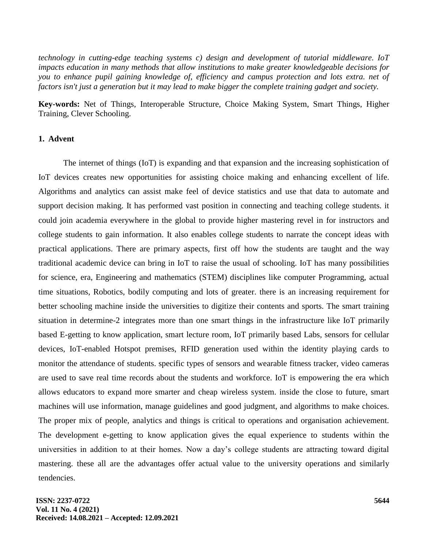*technology in cutting-edge teaching systems c) design and development of tutorial middleware. IoT impacts education in many methods that allow institutions to make greater knowledgeable decisions for you to enhance pupil gaining knowledge of, efficiency and campus protection and lots extra. net of factors isn't just a generation but it may lead to make bigger the complete training gadget and society.* 

**Key-words:** Net of Things, Interoperable Structure, Choice Making System, Smart Things, Higher Training, Clever Schooling.

### **1. Advent**

The internet of things (IoT) is expanding and that expansion and the increasing sophistication of IoT devices creates new opportunities for assisting choice making and enhancing excellent of life. Algorithms and analytics can assist make feel of device statistics and use that data to automate and support decision making. It has performed vast position in connecting and teaching college students. it could join academia everywhere in the global to provide higher mastering revel in for instructors and college students to gain information. It also enables college students to narrate the concept ideas with practical applications. There are primary aspects, first off how the students are taught and the way traditional academic device can bring in IoT to raise the usual of schooling. IoT has many possibilities for science, era, Engineering and mathematics (STEM) disciplines like computer Programming, actual time situations, Robotics, bodily computing and lots of greater. there is an increasing requirement for better schooling machine inside the universities to digitize their contents and sports. The smart training situation in determine-2 integrates more than one smart things in the infrastructure like IoT primarily based E-getting to know application, smart lecture room, IoT primarily based Labs, sensors for cellular devices, IoT-enabled Hotspot premises, RFID generation used within the identity playing cards to monitor the attendance of students. specific types of sensors and wearable fitness tracker, video cameras are used to save real time records about the students and workforce. IoT is empowering the era which allows educators to expand more smarter and cheap wireless system. inside the close to future, smart machines will use information, manage guidelines and good judgment, and algorithms to make choices. The proper mix of people, analytics and things is critical to operations and organisation achievement. The development e-getting to know application gives the equal experience to students within the universities in addition to at their homes. Now a day's college students are attracting toward digital mastering. these all are the advantages offer actual value to the university operations and similarly tendencies.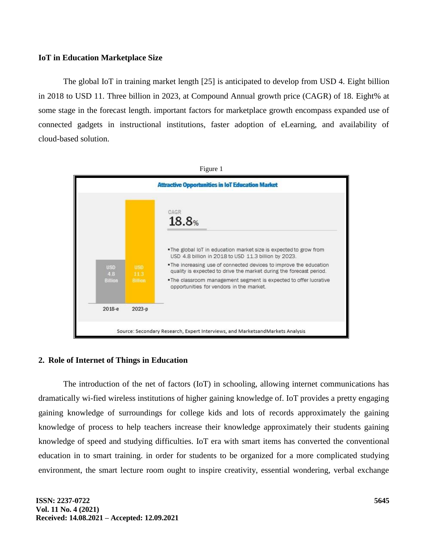### **IoT in Education Marketplace Size**

The global IoT in training market length [25] is anticipated to develop from USD 4. Eight billion in 2018 to USD 11. Three billion in 2023, at Compound Annual growth price (CAGR) of 18. Eight% at some stage in the forecast length. important factors for marketplace growth encompass expanded use of connected gadgets in instructional institutions, faster adoption of eLearning, and availability of cloud-based solution.



### **2. Role of Internet of Things in Education**

The introduction of the net of factors (IoT) in schooling, allowing internet communications has dramatically wi-fied wireless institutions of higher gaining knowledge of. IoT provides a pretty engaging gaining knowledge of surroundings for college kids and lots of records approximately the gaining knowledge of process to help teachers increase their knowledge approximately their students gaining knowledge of speed and studying difficulties. IoT era with smart items has converted the conventional education in to smart training. in order for students to be organized for a more complicated studying environment, the smart lecture room ought to inspire creativity, essential wondering, verbal exchange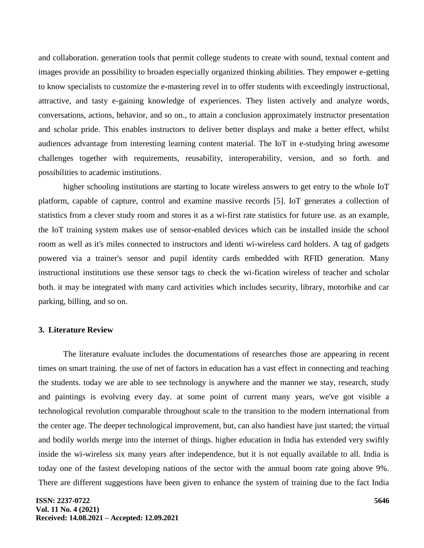and collaboration. generation tools that permit college students to create with sound, textual content and images provide an possibility to broaden especially organized thinking abilities. They empower e-getting to know specialists to customize the e-mastering revel in to offer students with exceedingly instructional, attractive, and tasty e-gaining knowledge of experiences. They listen actively and analyze words, conversations, actions, behavior, and so on., to attain a conclusion approximately instructor presentation and scholar pride. This enables instructors to deliver better displays and make a better effect, whilst audiences advantage from interesting learning content material. The IoT in e-studying bring awesome challenges together with requirements, reusability, interoperability, version, and so forth. and possibilities to academic institutions.

higher schooling institutions are starting to locate wireless answers to get entry to the whole IoT platform, capable of capture, control and examine massive records [5]. IoT generates a collection of statistics from a clever study room and stores it as a wi-first rate statistics for future use. as an example, the IoT training system makes use of sensor-enabled devices which can be installed inside the school room as well as it's miles connected to instructors and identi wi-wireless card holders. A tag of gadgets powered via a trainer's sensor and pupil identity cards embedded with RFID generation. Many instructional institutions use these sensor tags to check the wi-fication wireless of teacher and scholar both. it may be integrated with many card activities which includes security, library, motorbike and car parking, billing, and so on.

### **3. Literature Review**

The literature evaluate includes the documentations of researches those are appearing in recent times on smart training. the use of net of factors in education has a vast effect in connecting and teaching the students. today we are able to see technology is anywhere and the manner we stay, research, study and paintings is evolving every day. at some point of current many years, we've got visible a technological revolution comparable throughout scale to the transition to the modern international from the center age. The deeper technological improvement, but, can also handiest have just started; the virtual and bodily worlds merge into the internet of things. higher education in India has extended very swiftly inside the wi-wireless six many years after independence, but it is not equally available to all. India is today one of the fastest developing nations of the sector with the annual boom rate going above 9%. There are different suggestions have been given to enhance the system of training due to the fact India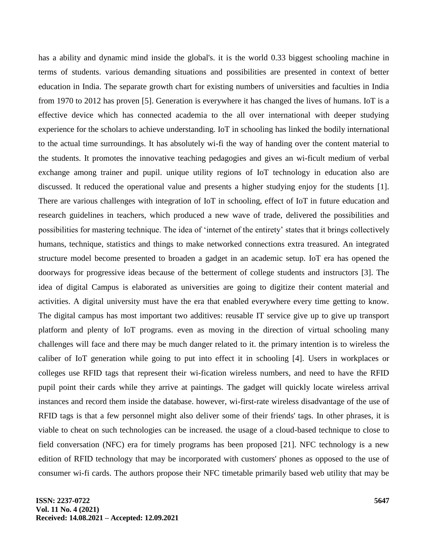has a ability and dynamic mind inside the global's. it is the world 0.33 biggest schooling machine in terms of students. various demanding situations and possibilities are presented in context of better education in India. The separate growth chart for existing numbers of universities and faculties in India from 1970 to 2012 has proven [5]. Generation is everywhere it has changed the lives of humans. IoT is a effective device which has connected academia to the all over international with deeper studying experience for the scholars to achieve understanding. IoT in schooling has linked the bodily international to the actual time surroundings. It has absolutely wi-fi the way of handing over the content material to the students. It promotes the innovative teaching pedagogies and gives an wi-ficult medium of verbal exchange among trainer and pupil. unique utility regions of IoT technology in education also are discussed. It reduced the operational value and presents a higher studying enjoy for the students [1]. There are various challenges with integration of IoT in schooling, effect of IoT in future education and research guidelines in teachers, which produced a new wave of trade, delivered the possibilities and possibilities for mastering technique. The idea of 'internet of the entirety' states that it brings collectively humans, technique, statistics and things to make networked connections extra treasured. An integrated structure model become presented to broaden a gadget in an academic setup. IoT era has opened the doorways for progressive ideas because of the betterment of college students and instructors [3]. The idea of digital Campus is elaborated as universities are going to digitize their content material and activities. A digital university must have the era that enabled everywhere every time getting to know. The digital campus has most important two additives: reusable IT service give up to give up transport platform and plenty of IoT programs. even as moving in the direction of virtual schooling many challenges will face and there may be much danger related to it. the primary intention is to wireless the caliber of IoT generation while going to put into effect it in schooling [4]. Users in workplaces or colleges use RFID tags that represent their wi-fication wireless numbers, and need to have the RFID pupil point their cards while they arrive at paintings. The gadget will quickly locate wireless arrival instances and record them inside the database. however, wi-first-rate wireless disadvantage of the use of RFID tags is that a few personnel might also deliver some of their friends' tags. In other phrases, it is viable to cheat on such technologies can be increased. the usage of a cloud-based technique to close to field conversation (NFC) era for timely programs has been proposed [21]. NFC technology is a new edition of RFID technology that may be incorporated with customers' phones as opposed to the use of consumer wi-fi cards. The authors propose their NFC timetable primarily based web utility that may be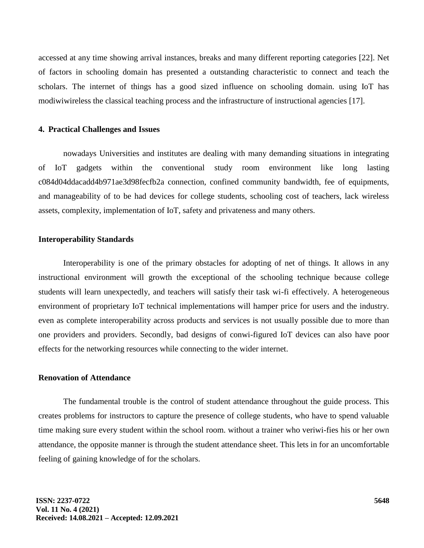accessed at any time showing arrival instances, breaks and many different reporting categories [22]. Net of factors in schooling domain has presented a outstanding characteristic to connect and teach the scholars. The internet of things has a good sized influence on schooling domain. using IoT has modiwiwireless the classical teaching process and the infrastructure of instructional agencies [17].

### **4. Practical Challenges and Issues**

nowadays Universities and institutes are dealing with many demanding situations in integrating of IoT gadgets within the conventional study room environment like long lasting c084d04ddacadd4b971ae3d98fecfb2a connection, confined community bandwidth, fee of equipments, and manageability of to be had devices for college students, schooling cost of teachers, lack wireless assets, complexity, implementation of IoT, safety and privateness and many others.

### **Interoperability Standards**

Interoperability is one of the primary obstacles for adopting of net of things. It allows in any instructional environment will growth the exceptional of the schooling technique because college students will learn unexpectedly, and teachers will satisfy their task wi-fi effectively. A heterogeneous environment of proprietary IoT technical implementations will hamper price for users and the industry. even as complete interoperability across products and services is not usually possible due to more than one providers and providers. Secondly, bad designs of conwi-figured IoT devices can also have poor effects for the networking resources while connecting to the wider internet.

## **Renovation of Attendance**

The fundamental trouble is the control of student attendance throughout the guide process. This creates problems for instructors to capture the presence of college students, who have to spend valuable time making sure every student within the school room. without a trainer who veriwi-fies his or her own attendance, the opposite manner is through the student attendance sheet. This lets in for an uncomfortable feeling of gaining knowledge of for the scholars.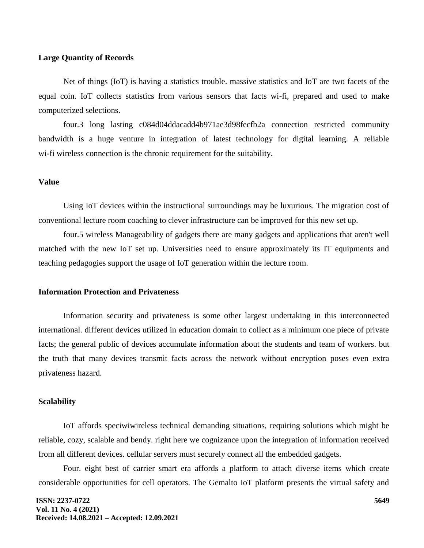### **Large Quantity of Records**

Net of things (IoT) is having a statistics trouble. massive statistics and IoT are two facets of the equal coin. IoT collects statistics from various sensors that facts wi-fi, prepared and used to make computerized selections.

four.3 long lasting c084d04ddacadd4b971ae3d98fecfb2a connection restricted community bandwidth is a huge venture in integration of latest technology for digital learning. A reliable wi-fi wireless connection is the chronic requirement for the suitability.

### **Value**

Using IoT devices within the instructional surroundings may be luxurious. The migration cost of conventional lecture room coaching to clever infrastructure can be improved for this new set up.

four.5 wireless Manageability of gadgets there are many gadgets and applications that aren't well matched with the new IoT set up. Universities need to ensure approximately its IT equipments and teaching pedagogies support the usage of IoT generation within the lecture room.

#### **Information Protection and Privateness**

Information security and privateness is some other largest undertaking in this interconnected international. different devices utilized in education domain to collect as a minimum one piece of private facts; the general public of devices accumulate information about the students and team of workers. but the truth that many devices transmit facts across the network without encryption poses even extra privateness hazard.

#### **Scalability**

IoT affords speciwiwireless technical demanding situations, requiring solutions which might be reliable, cozy, scalable and bendy. right here we cognizance upon the integration of information received from all different devices. cellular servers must securely connect all the embedded gadgets.

Four. eight best of carrier smart era affords a platform to attach diverse items which create considerable opportunities for cell operators. The Gemalto IoT platform presents the virtual safety and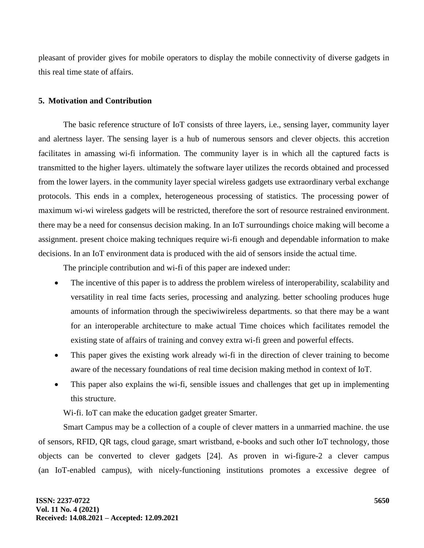pleasant of provider gives for mobile operators to display the mobile connectivity of diverse gadgets in this real time state of affairs.

### **5. Motivation and Contribution**

The basic reference structure of IoT consists of three layers, i.e., sensing layer, community layer and alertness layer. The sensing layer is a hub of numerous sensors and clever objects. this accretion facilitates in amassing wi-fi information. The community layer is in which all the captured facts is transmitted to the higher layers. ultimately the software layer utilizes the records obtained and processed from the lower layers. in the community layer special wireless gadgets use extraordinary verbal exchange protocols. This ends in a complex, heterogeneous processing of statistics. The processing power of maximum wi-wi wireless gadgets will be restricted, therefore the sort of resource restrained environment. there may be a need for consensus decision making. In an IoT surroundings choice making will become a assignment. present choice making techniques require wi-fi enough and dependable information to make decisions. In an IoT environment data is produced with the aid of sensors inside the actual time.

The principle contribution and wi-fi of this paper are indexed under:

- The incentive of this paper is to address the problem wireless of interoperability, scalability and versatility in real time facts series, processing and analyzing. better schooling produces huge amounts of information through the speciwiwireless departments. so that there may be a want for an interoperable architecture to make actual Time choices which facilitates remodel the existing state of affairs of training and convey extra wi-fi green and powerful effects.
- This paper gives the existing work already wi-fi in the direction of clever training to become aware of the necessary foundations of real time decision making method in context of IoT.
- This paper also explains the wi-fi, sensible issues and challenges that get up in implementing this structure.

Wi-fi. IoT can make the education gadget greater Smarter.

Smart Campus may be a collection of a couple of clever matters in a unmarried machine. the use of sensors, RFID, QR tags, cloud garage, smart wristband, e-books and such other IoT technology, those objects can be converted to clever gadgets [24]. As proven in wi-figure-2 a clever campus (an IoT-enabled campus), with nicely-functioning institutions promotes a excessive degree of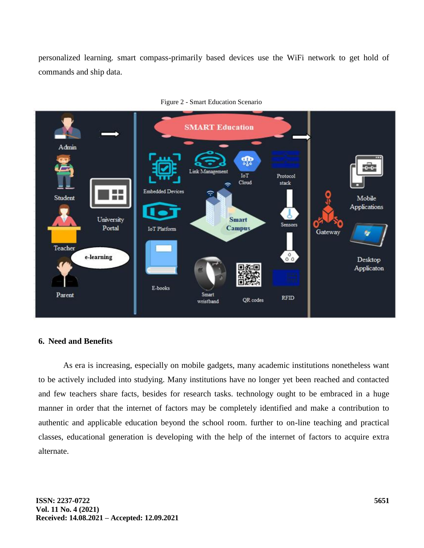personalized learning. smart compass-primarily based devices use the WiFi network to get hold of commands and ship data.



Figure 2 - Smart Education Scenario

### **6. Need and Benefits**

As era is increasing, especially on mobile gadgets, many academic institutions nonetheless want to be actively included into studying. Many institutions have no longer yet been reached and contacted and few teachers share facts, besides for research tasks. technology ought to be embraced in a huge manner in order that the internet of factors may be completely identified and make a contribution to authentic and applicable education beyond the school room. further to on-line teaching and practical classes, educational generation is developing with the help of the internet of factors to acquire extra alternate.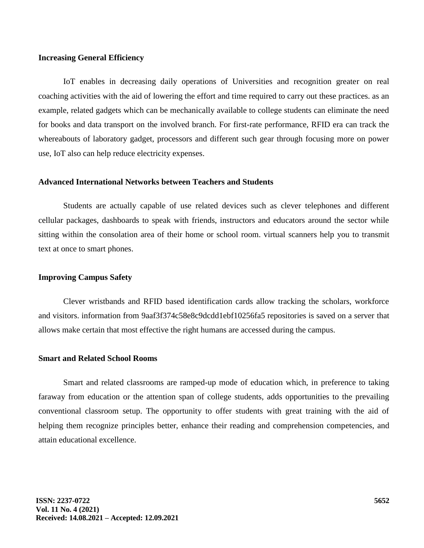#### **Increasing General Efficiency**

IoT enables in decreasing daily operations of Universities and recognition greater on real coaching activities with the aid of lowering the effort and time required to carry out these practices. as an example, related gadgets which can be mechanically available to college students can eliminate the need for books and data transport on the involved branch. For first-rate performance, RFID era can track the whereabouts of laboratory gadget, processors and different such gear through focusing more on power use, IoT also can help reduce electricity expenses.

### **Advanced International Networks between Teachers and Students**

Students are actually capable of use related devices such as clever telephones and different cellular packages, dashboards to speak with friends, instructors and educators around the sector while sitting within the consolation area of their home or school room. virtual scanners help you to transmit text at once to smart phones.

### **Improving Campus Safety**

Clever wristbands and RFID based identification cards allow tracking the scholars, workforce and visitors. information from 9aaf3f374c58e8c9dcdd1ebf10256fa5 repositories is saved on a server that allows make certain that most effective the right humans are accessed during the campus.

#### **Smart and Related School Rooms**

Smart and related classrooms are ramped-up mode of education which, in preference to taking faraway from education or the attention span of college students, adds opportunities to the prevailing conventional classroom setup. The opportunity to offer students with great training with the aid of helping them recognize principles better, enhance their reading and comprehension competencies, and attain educational excellence.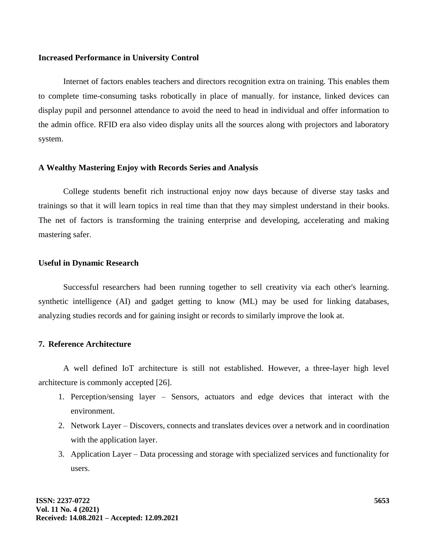### **Increased Performance in University Control**

Internet of factors enables teachers and directors recognition extra on training. This enables them to complete time-consuming tasks robotically in place of manually. for instance, linked devices can display pupil and personnel attendance to avoid the need to head in individual and offer information to the admin office. RFID era also video display units all the sources along with projectors and laboratory system.

## **A Wealthy Mastering Enjoy with Records Series and Analysis**

College students benefit rich instructional enjoy now days because of diverse stay tasks and trainings so that it will learn topics in real time than that they may simplest understand in their books. The net of factors is transforming the training enterprise and developing, accelerating and making mastering safer.

### **Useful in Dynamic Research**

Successful researchers had been running together to sell creativity via each other's learning. synthetic intelligence (AI) and gadget getting to know (ML) may be used for linking databases, analyzing studies records and for gaining insight or records to similarly improve the look at.

### **7. Reference Architecture**

A well defined IoT architecture is still not established. However, a three-layer high level architecture is commonly accepted [26].

- 1. Perception/sensing layer Sensors, actuators and edge devices that interact with the environment.
- 2. Network Layer Discovers, connects and translates devices over a network and in coordination with the application layer.
- 3. Application Layer Data processing and storage with specialized services and functionality for users.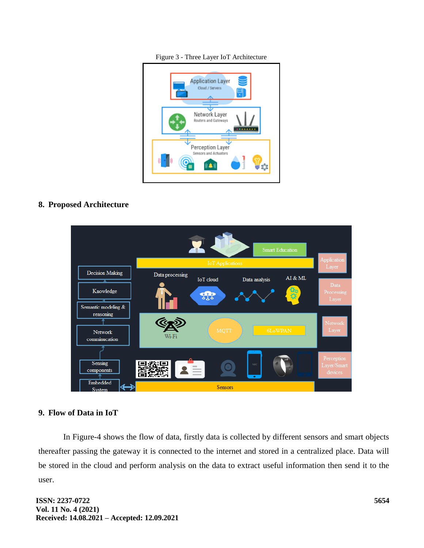Figure 3 - Three Layer IoT Architecture



**8. Proposed Architecture**



### **9. Flow of Data in IoT**

In Figure-4 shows the flow of data, firstly data is collected by different sensors and smart objects thereafter passing the gateway it is connected to the internet and stored in a centralized place. Data will be stored in the cloud and perform analysis on the data to extract useful information then send it to the user.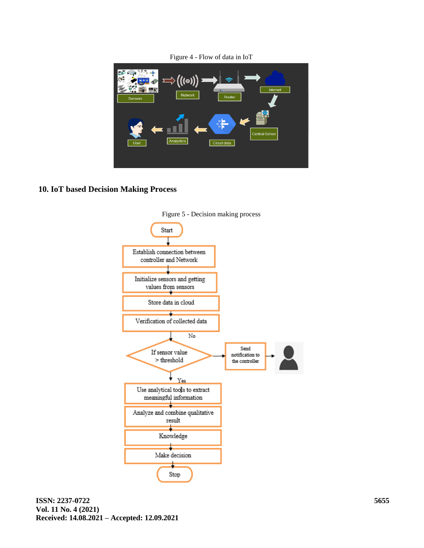

Figure 4 - Flow of data in IoT

## **10. IoT based Decision Making Process**

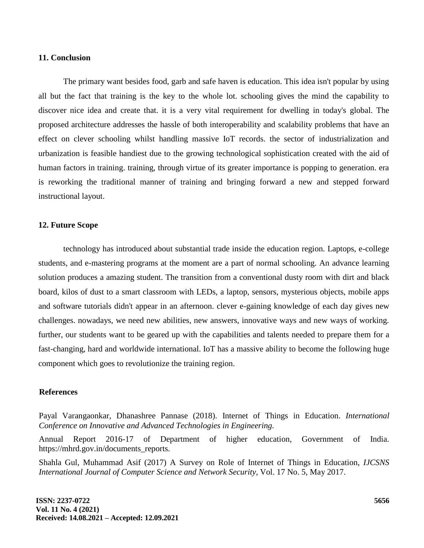### **11. Conclusion**

The primary want besides food, garb and safe haven is education. This idea isn't popular by using all but the fact that training is the key to the whole lot. schooling gives the mind the capability to discover nice idea and create that. it is a very vital requirement for dwelling in today's global. The proposed architecture addresses the hassle of both interoperability and scalability problems that have an effect on clever schooling whilst handling massive IoT records. the sector of industrialization and urbanization is feasible handiest due to the growing technological sophistication created with the aid of human factors in training. training, through virtue of its greater importance is popping to generation. era is reworking the traditional manner of training and bringing forward a new and stepped forward instructional layout.

### **12. Future Scope**

technology has introduced about substantial trade inside the education region. Laptops, e-college students, and e-mastering programs at the moment are a part of normal schooling. An advance learning solution produces a amazing student. The transition from a conventional dusty room with dirt and black board, kilos of dust to a smart classroom with LEDs, a laptop, sensors, mysterious objects, mobile apps and software tutorials didn't appear in an afternoon. clever e-gaining knowledge of each day gives new challenges. nowadays, we need new abilities, new answers, innovative ways and new ways of working. further, our students want to be geared up with the capabilities and talents needed to prepare them for a fast-changing, hard and worldwide international. IoT has a massive ability to become the following huge component which goes to revolutionize the training region.

## **References**

Payal Varangaonkar, Dhanashree Pannase (2018). Internet of Things in Education. *International Conference on Innovative and Advanced Technologies in Engineering.*

Annual Report 2016-17 of Department of higher education, Government of India. https://mhrd.gov.in/documents\_reports.

Shahla Gul, Muhammad Asif (2017) A Survey on Role of Internet of Things in Education, *IJCSNS International Journal of Computer Science and Network Security,* Vol. 17 No. 5, May 2017.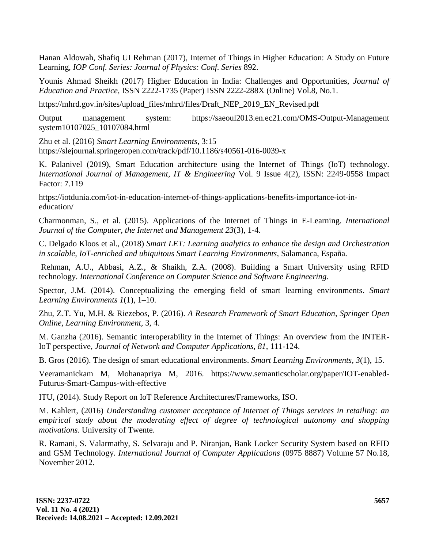Hanan Aldowah, Shafiq UI Rehman (2017), Internet of Things in Higher Education: A Study on Future Learning, *IOP Conf. Series: Journal of Physics: Conf. Series* 892.

Younis Ahmad Sheikh (2017) Higher Education in India: Challenges and Opportunities, *Journal of Education and Practice,* ISSN 2222-1735 (Paper) ISSN 2222-288X (Online) Vol.8, No.1.

https://mhrd.gov.in/sites/upload\_files/mhrd/files/Draft\_NEP\_2019\_EN\_Revised.pdf

Output management system: https://saeoul2013.en.ec21.com/OMS-Output-Management system10107025\_10107084.html

Zhu et al. (2016) *Smart Learning Environments*, 3:15 https://slejournal.springeropen.com/track/pdf/10.1186/s40561-016-0039-x

K. Palanivel (2019), Smart Education architecture using the Internet of Things (IoT) technology. *International Journal of Management, IT & Engineering* Vol. 9 Issue 4(2), ISSN: 2249-0558 Impact Factor: 7.119

https://iotdunia.com/iot-in-education-internet-of-things-applications-benefits-importance-iot-ineducation/

Charmonman, S., et al. (2015). Applications of the Internet of Things in E-Learning. *International Journal of the Computer, the Internet and Management 23*(3), 1-4.

C. Delgado Kloos et al., (2018) *Smart LET: Learning analytics to enhance the design and Orchestration in scalable, IoT-enriched and ubiquitous Smart Learning Environments,* Salamanca, España.

Rehman, A.U., Abbasi, A.Z., & Shaikh, Z.A. (2008). Building a Smart University using RFID technology. *International Conference on Computer Science and Software Engineering.*

Spector, J.M. (2014). Conceptualizing the emerging field of smart learning environments. *Smart Learning Environments 1*(1), 1–10.

Zhu, Z.T. Yu, M.H. & Riezebos, P. (2016). *A Research Framework of Smart Education, Springer Open Online, Learning Environment,* 3, 4.

M. Ganzha (2016). Semantic interoperability in the Internet of Things: An overview from the INTER-IoT perspective, *Journal of Network and Computer Applications, 81*, 111-124.

B. Gros (2016). The design of smart educational environments. *Smart Learning Environments, 3*(1), 15.

Veeramanickam M, Mohanapriya M, 2016. https://www.semanticscholar.org/paper/IOT-enabled-Futurus-Smart-Campus-with-effective

ITU, (2014). Study Report on IoT Reference Architectures/Frameworks, ISO.

M. Kahlert, (2016) *Understanding customer acceptance of Internet of Things services in retailing: an empirical study about the moderating effect of degree of technological autonomy and shopping motivations*. University of Twente.

R. Ramani, S. Valarmathy, S. Selvaraju and P. Niranjan, Bank Locker Security System based on RFID and GSM Technology. *International Journal of Computer Applications* (0975 8887) Volume 57 No.18, November 2012.